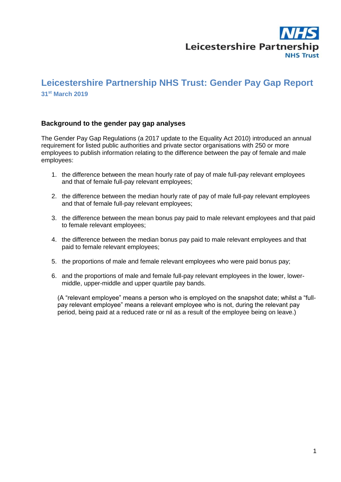

### **Leicestershire Partnership NHS Trust: Gender Pay Gap Report 31 st March 2019**

#### **Background to the gender pay gap analyses**

The Gender Pay Gap Regulations (a 2017 update to the Equality Act 2010) introduced an annual requirement for listed public authorities and private sector organisations with 250 or more employees to publish information relating to the difference between the pay of female and male employees:

- 1. the difference between the mean hourly rate of pay of male full-pay relevant employees and that of female full-pay relevant employees;
- 2. the difference between the median hourly rate of pay of male full-pay relevant employees and that of female full-pay relevant employees;
- 3. the difference between the mean bonus pay paid to male relevant employees and that paid to female relevant employees;
- 4. the difference between the median bonus pay paid to male relevant employees and that paid to female relevant employees;
- 5. the proportions of male and female relevant employees who were paid bonus pay;
- 6. and the proportions of male and female full-pay relevant employees in the lower, lowermiddle, upper-middle and upper quartile pay bands.

(A "relevant employee" means a person who is employed on the snapshot date; whilst a "fullpay relevant employee" means a relevant employee who is not, during the relevant pay period, being paid at a reduced rate or nil as a result of the employee being on leave.)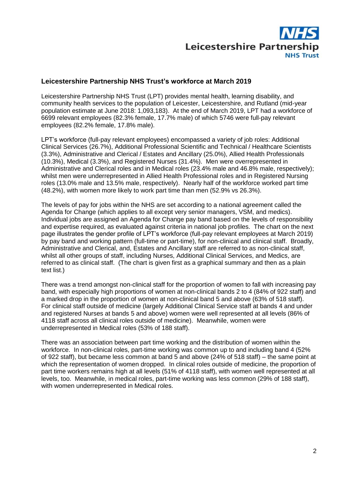

### **Leicestershire Partnership NHS Trust's workforce at March 2019**

Leicestershire Partnership NHS Trust (LPT) provides mental health, learning disability, and community health services to the population of Leicester, Leicestershire, and Rutland (mid-year population estimate at June 2018: 1,093,183). At the end of March 2019, LPT had a workforce of 6699 relevant employees (82.3% female, 17.7% male) of which 5746 were full-pay relevant employees (82.2% female, 17.8% male).

LPT's workforce (full-pay relevant employees) encompassed a variety of job roles: Additional Clinical Services (26.7%), Additional Professional Scientific and Technical / Healthcare Scientists (3.3%), Administrative and Clerical / Estates and Ancillary (25.0%), Allied Health Professionals (10.3%), Medical (3.3%), and Registered Nurses (31.4%). Men were overrepresented in Administrative and Clerical roles and in Medical roles (23.4% male and 46.8% male, respectively); whilst men were underrepresented in Allied Health Professional roles and in Registered Nursing roles (13.0% male and 13.5% male, respectively). Nearly half of the workforce worked part time (48.2%), with women more likely to work part time than men (52.9% vs 26.3%).

The levels of pay for jobs within the NHS are set according to a national agreement called the Agenda for Change (which applies to all except very senior managers, VSM, and medics). Individual jobs are assigned an Agenda for Change pay band based on the levels of responsibility and expertise required, as evaluated against criteria in national job profiles. The chart on the next page illustrates the gender profile of LPT's workforce (full-pay relevant employees at March 2019) by pay band and working pattern (full-time or part-time), for non-clinical and clinical staff. Broadly, Administrative and Clerical, and, Estates and Ancillary staff are referred to as non-clinical staff, whilst all other groups of staff, including Nurses, Additional Clinical Services, and Medics, are referred to as clinical staff. (The chart is given first as a graphical summary and then as a plain text list.)

There was a trend amongst non-clinical staff for the proportion of women to fall with increasing pay band, with especially high proportions of women at non-clinical bands 2 to 4 (84% of 922 staff) and a marked drop in the proportion of women at non-clinical band 5 and above (63% of 518 staff). For clinical staff outside of medicine (largely Additional Clinical Service staff at bands 4 and under and registered Nurses at bands 5 and above) women were well represented at all levels (86% of 4118 staff across all clinical roles outside of medicine). Meanwhile, women were underrepresented in Medical roles (53% of 188 staff).

There was an association between part time working and the distribution of women within the workforce. In non-clinical roles, part-time working was common up to and including band 4 (52% of 922 staff), but became less common at band 5 and above (24% of 518 staff) – the same point at which the representation of women dropped. In clinical roles outside of medicine, the proportion of part time workers remains high at all levels (51% of 4118 staff), with women well represented at all levels, too. Meanwhile, in medical roles, part-time working was less common (29% of 188 staff), with women underrepresented in Medical roles.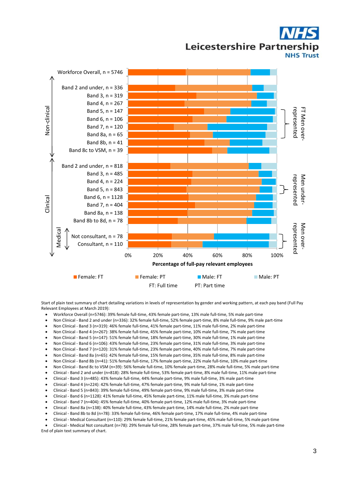## Leicestershire Partnership **NHS Trust**



Start of plain text summary of chart detailing variations in levels of representation by gender and working pattern, at each pay band (Full Pay Relevant Employees at March 2019):

- Workforce Overall (n=5746): 39% female full-time, 43% female part-time, 13% male full-time, 5% male part-time
- Non Clinical Band 2 and under (n=336): 32% female full-time, 52% female part-time, 8% male full-time, 9% male part-time
- Non Clinical Band 3 (n=319): 46% female full-time, 41% female part-time, 11% male full-time, 2% male part-time
- Non Clinical Band 4 (n=267): 38% female full-time, 45% female part-time, 10% male full-time, 7% male part-time
- Non Clinical Band 5 (n=147): 51% female full-time, 18% female part-time, 30% male full-time, 1% male part-time
- Non Clinical Band 6 (n=106): 43% female full-time, 23% female part-time, 31% male full-time, 3% male part-time
- 
- Non Clinical Band 7 (n=120): 31% female full-time, 23% female part-time, 40% male full-time, 7% male part-time Non Clinical - Band 8a (n=65): 42% female full-time, 15% female part-time, 35% male full-time, 8% male part-time
- 
- Non Clinical Band 8b (n=41): 51% female full-time, 17% female part-time, 22% male full-time, 10% male part-time
- Non Clinical Band 8c to VSM (n=39): 56% female full-time, 10% female part-time, 28% male full-time, 5% male part-time Clinical - Band 2 and under (n=818): 28% female full-time, 53% female part-time, 8% male full-time, 11% male part-time
- 
- Clinical Band 3 (n=485): 43% female full-time, 44% female part-time, 9% male full-time, 3% male part-time Clinical - Band 4 (n=224): 42% female full-time, 47% female part-time, 9% male full-time, 1% male part-time
- 
- Clinical Band 5 (n=843): 39% female full-time, 49% female part-time, 9% male full-time, 3% male part-time Clinical - Band 6 (n=1128): 41% female full-time, 45% female part-time, 11% male full-time, 3% male part-time
- Clinical Band 7 (n=404): 45% female full-time, 40% female part-time, 12% male full-time, 3% male part-time
- Clinical Band 8a (n=138): 40% female full-time, 43% female part-time, 14% male full-time, 2% male part-time
- Clinical Band 8b to 8d (n=78): 33% female full-time, 46% female part-time, 17% male full-time, 4% male part-time
- Clinical Medical Consultant (n=110): 29% female full-time, 21% female part-time, 45% male full-time, 5% male part-time
- Clinical Medical Not consultant (n=78): 29% female full-time, 28% female part-time, 37% male full-time, 5% male part-time

End of plain text summary of chart.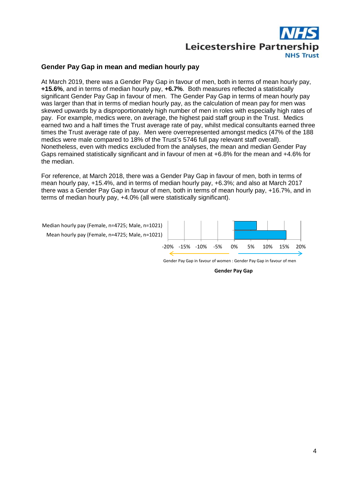

#### **Gender Pay Gap in mean and median hourly pay**

At March 2019, there was a Gender Pay Gap in favour of men, both in terms of mean hourly pay, **+15.6%**, and in terms of median hourly pay, **+6.7%**. Both measures reflected a statistically significant Gender Pay Gap in favour of men. The Gender Pay Gap in terms of mean hourly pay was larger than that in terms of median hourly pay, as the calculation of mean pay for men was skewed upwards by a disproportionately high number of men in roles with especially high rates of pay. For example, medics were, on average, the highest paid staff group in the Trust. Medics earned two and a half times the Trust average rate of pay, whilst medical consultants earned three times the Trust average rate of pay. Men were overrepresented amongst medics (47% of the 188 medics were male compared to 18% of the Trust's 5746 full pay relevant staff overall). Nonetheless, even with medics excluded from the analyses, the mean and median Gender Pay Gaps remained statistically significant and in favour of men at +6.8% for the mean and +4.6% for the median.

For reference, at March 2018, there was a Gender Pay Gap in favour of men, both in terms of mean hourly pay, +15.4%, and in terms of median hourly pay, +6.3%; and also at March 2017 there was a Gender Pay Gap in favour of men, both in terms of mean hourly pay, +16.7%, and in terms of median hourly pay, +4.0% (all were statistically significant).



Gender Pay Gap in favour of women : Gender Pay Gap in favour of men

**Gender Pay Gap**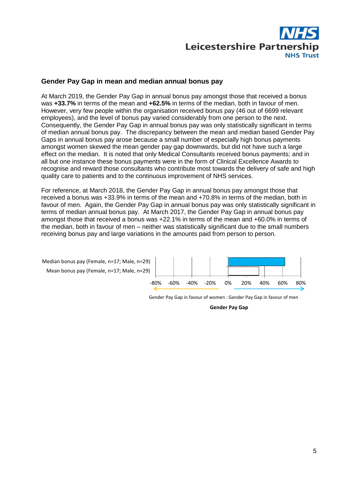

#### **Gender Pay Gap in mean and median annual bonus pay**

At March 2019, the Gender Pay Gap in annual bonus pay amongst those that received a bonus was **+33.7%** in terms of the mean and **+62.5%** in terms of the median, both in favour of men. However, very few people within the organisation received bonus pay (46 out of 6699 relevant employees), and the level of bonus pay varied considerably from one person to the next. Consequently, the Gender Pay Gap in annual bonus pay was only statistically significant in terms of median annual bonus pay. The discrepancy between the mean and median based Gender Pay Gaps in annual bonus pay arose because a small number of especially high bonus payments amongst women skewed the mean gender pay gap downwards, but did not have such a large effect on the median. It is noted that only Medical Consultants received bonus payments; and in all but one instance these bonus payments were in the form of Clinical Excellence Awards to recognise and reward those consultants who contribute most towards the delivery of safe and high quality care to patients and to the continuous improvement of NHS services.

For reference, at March 2018, the Gender Pay Gap in annual bonus pay amongst those that received a bonus was +33.9% in terms of the mean and +70.8% in terms of the median, both in favour of men. Again, the Gender Pay Gap in annual bonus pay was only statistically significant in terms of median annual bonus pay. At March 2017, the Gender Pay Gap in annual bonus pay amongst those that received a bonus was +22.1% in terms of the mean and +60.0% in terms of the median, both in favour of men – neither was statistically significant due to the small numbers receiving bonus pay and large variations in the amounts paid from person to person.



Gender Pay Gap in favour of women : Gender Pay Gap in favour of men

**Gender Pay Gap**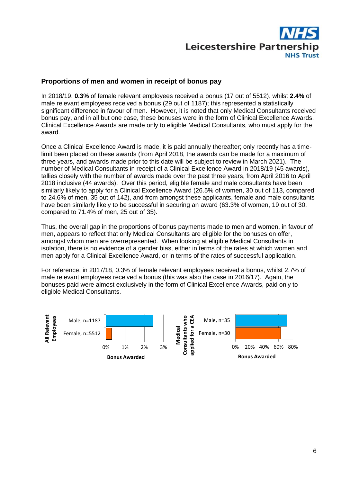

#### **Proportions of men and women in receipt of bonus pay**

In 2018/19, **0.3%** of female relevant employees received a bonus (17 out of 5512), whilst **2.4%** of male relevant employees received a bonus (29 out of 1187); this represented a statistically significant difference in favour of men. However, it is noted that only Medical Consultants received bonus pay, and in all but one case, these bonuses were in the form of Clinical Excellence Awards. Clinical Excellence Awards are made only to eligible Medical Consultants, who must apply for the award.

Once a Clinical Excellence Award is made, it is paid annually thereafter; only recently has a timelimit been placed on these awards (from April 2018, the awards can be made for a maximum of three years, and awards made prior to this date will be subject to review in March 2021). The number of Medical Consultants in receipt of a Clinical Excellence Award in 2018/19 (45 awards), tallies closely with the number of awards made over the past three years, from April 2016 to April 2018 inclusive (44 awards). Over this period, eligible female and male consultants have been similarly likely to apply for a Clinical Excellence Award (26.5% of women, 30 out of 113, compared to 24.6% of men, 35 out of 142), and from amongst these applicants, female and male consultants have been similarly likely to be successful in securing an award (63.3% of women, 19 out of 30, compared to 71.4% of men, 25 out of 35).

Thus, the overall gap in the proportions of bonus payments made to men and women, in favour of men, appears to reflect that only Medical Consultants are eligible for the bonuses on offer, amongst whom men are overrepresented. When looking at eligible Medical Consultants in isolation, there is no evidence of a gender bias, either in terms of the rates at which women and men apply for a Clinical Excellence Award, or in terms of the rates of successful application.

For reference, in 2017/18, 0.3% of female relevant employees received a bonus, whilst 2.7% of male relevant employees received a bonus (this was also the case in 2016/17). Again, the bonuses paid were almost exclusively in the form of Clinical Excellence Awards, paid only to eligible Medical Consultants.

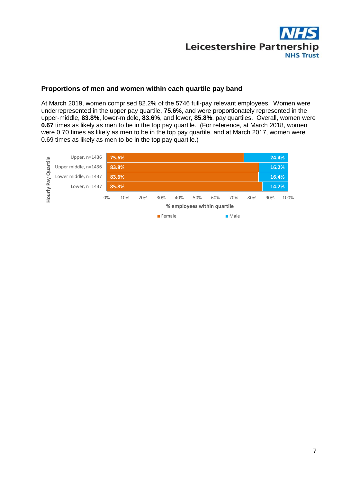

### **Proportions of men and women within each quartile pay band**

At March 2019, women comprised 82.2% of the 5746 full-pay relevant employees. Women were underrepresented in the upper pay quartile, **75.6%**, and were proportionately represented in the upper-middle, **83.8%**, lower-middle, **83.6%**, and lower, **85.8%**, pay quartiles. Overall, women were **0.67** times as likely as men to be in the top pay quartile. (For reference, at March 2018, women were 0.70 times as likely as men to be in the top pay quartile, and at March 2017, women were 0.69 times as likely as men to be in the top pay quartile.)

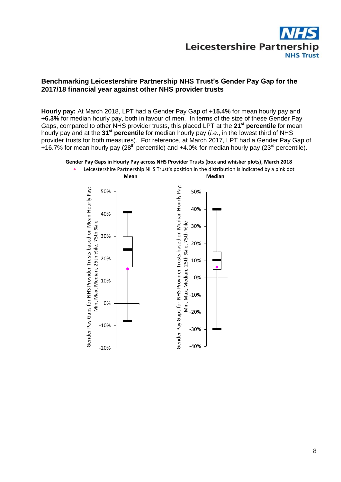

### **Benchmarking Leicestershire Partnership NHS Trust's Gender Pay Gap for the 2017/18 financial year against other NHS provider trusts**

**Hourly pay:** At March 2018, LPT had a Gender Pay Gap of **+15.4%** for mean hourly pay and **+6.3%** for median hourly pay, both in favour of men. In terms of the size of these Gender Pay Gaps, compared to other NHS provider trusts, this placed LPT at the **21st percentile** for mean hourly pay and at the **31st percentile** for median hourly pay (*i.e.*, in the lowest third of NHS provider trusts for both measures). For reference, at March 2017, LPT had a Gender Pay Gap of +16.7% for mean hourly pay (28<sup>th</sup> percentile) and +4.0% for median hourly pay (23<sup>rd</sup> percentile).





Leicestershire Partnership NHS Trust's position in the distribution is indicated by a pink dot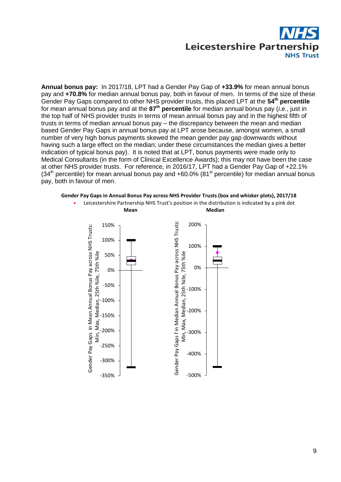

**Annual bonus pay:** In 2017/18, LPT had a Gender Pay Gap of **+33.9%** for mean annual bonus pay and **+70.8%** for median annual bonus pay, both in favour of men. In terms of the size of these Gender Pay Gaps compared to other NHS provider trusts, this placed LPT at the **54th percentile** for mean annual bonus pay and at the **87th percentile** for median annual bonus pay (*i.e.*, just in the top half of NHS provider trusts in terms of mean annual bonus pay and in the highest fifth of trusts in terms of median annual bonus pay – the discrepancy between the mean and median based Gender Pay Gaps in annual bonus pay at LPT arose because, amongst women, a small number of very high bonus payments skewed the mean gender pay gap downwards without having such a large effect on the median; under these circumstances the median gives a better indication of typical bonus pay). It is noted that at LPT, bonus payments were made only to Medical Consultants (in the form of Clinical Excellence Awards); this may not have been the case at other NHS provider trusts. For reference, in 2016/17, LPT had a Gender Pay Gap of +22.1%  $(34<sup>th</sup>$  percentile) for mean annual bonus pay and +60.0% (81<sup>st</sup> percentile) for median annual bonus pay, both in favour of men.

#### **Gender Pay Gaps in Annual Bonus Pay across NHS Provider Trusts (box and whisker plots), 2017/18**

 Leicestershire Partnership NHS Trust's position in the distribution is indicated by a pink dot **Mean Median**

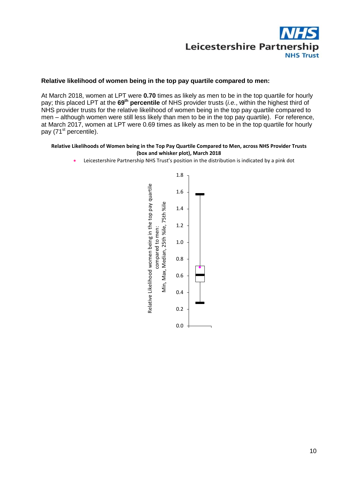

#### **Relative likelihood of women being in the top pay quartile compared to men:**

At March 2018, women at LPT were **0.70** times as likely as men to be in the top quartile for hourly pay; this placed LPT at the **69th percentile** of NHS provider trusts (*i.e.*, within the highest third of NHS provider trusts for the relative likelihood of women being in the top pay quartile compared to men – although women were still less likely than men to be in the top pay quartile). For reference, at March 2017, women at LPT were 0.69 times as likely as men to be in the top quartile for hourly pay (71<sup>st</sup> percentile).

#### **Relative Likelihoods of Women being in the Top Pay Quartile Compared to Men, across NHS Provider Trusts (box and whisker plot), March 2018**

Leicestershire Partnership NHS Trust's position in the distribution is indicated by a pink dot

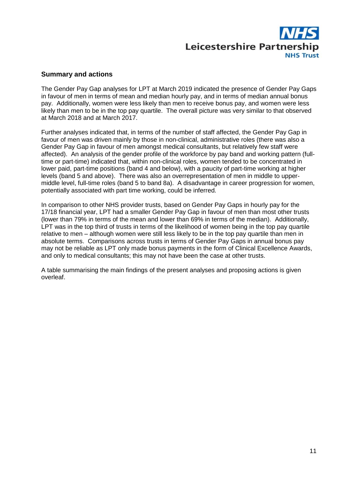

#### **Summary and actions**

The Gender Pay Gap analyses for LPT at March 2019 indicated the presence of Gender Pay Gaps in favour of men in terms of mean and median hourly pay, and in terms of median annual bonus pay. Additionally, women were less likely than men to receive bonus pay, and women were less likely than men to be in the top pay quartile. The overall picture was very similar to that observed at March 2018 and at March 2017.

Further analyses indicated that, in terms of the number of staff affected, the Gender Pay Gap in favour of men was driven mainly by those in non-clinical, administrative roles (there was also a Gender Pay Gap in favour of men amongst medical consultants, but relatively few staff were affected). An analysis of the gender profile of the workforce by pay band and working pattern (fulltime or part-time) indicated that, within non-clinical roles, women tended to be concentrated in lower paid, part-time positions (band 4 and below), with a paucity of part-time working at higher levels (band 5 and above). There was also an overrepresentation of men in middle to uppermiddle level, full-time roles (band 5 to band 8a). A disadvantage in career progression for women, potentially associated with part time working, could be inferred.

In comparison to other NHS provider trusts, based on Gender Pay Gaps in hourly pay for the 17/18 financial year, LPT had a smaller Gender Pay Gap in favour of men than most other trusts (lower than 79% in terms of the mean and lower than 69% in terms of the median). Additionally, LPT was in the top third of trusts in terms of the likelihood of women being in the top pay quartile relative to men – although women were still less likely to be in the top pay quartile than men in absolute terms. Comparisons across trusts in terms of Gender Pay Gaps in annual bonus pay may not be reliable as LPT only made bonus payments in the form of Clinical Excellence Awards, and only to medical consultants; this may not have been the case at other trusts.

A table summarising the main findings of the present analyses and proposing actions is given overleaf.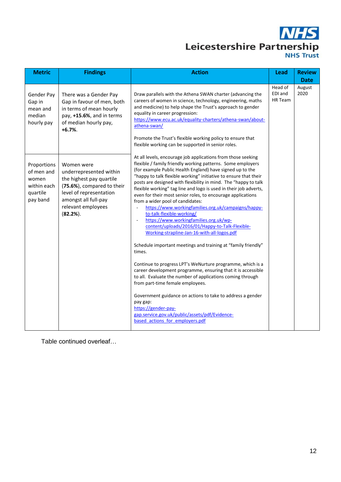# **NHS** Leicestershire Partnership

| <b>Metric</b>                                                             | <b>Findings</b>                                                                                                                                                                          | <b>Action</b>                                                                                                                                                                                                                                                                                                                                                                                                                                                                                                                                                                                                                                                                                                                                                                                   | Lead                          | <b>Review</b>  |
|---------------------------------------------------------------------------|------------------------------------------------------------------------------------------------------------------------------------------------------------------------------------------|-------------------------------------------------------------------------------------------------------------------------------------------------------------------------------------------------------------------------------------------------------------------------------------------------------------------------------------------------------------------------------------------------------------------------------------------------------------------------------------------------------------------------------------------------------------------------------------------------------------------------------------------------------------------------------------------------------------------------------------------------------------------------------------------------|-------------------------------|----------------|
|                                                                           |                                                                                                                                                                                          |                                                                                                                                                                                                                                                                                                                                                                                                                                                                                                                                                                                                                                                                                                                                                                                                 |                               | <b>Date</b>    |
| Gender Pay<br>Gap in<br>mean and<br>median<br>hourly pay                  | There was a Gender Pay<br>Gap in favour of men, both<br>in terms of mean hourly<br>pay, +15.6%, and in terms<br>of median hourly pay,<br>$+6.7%$                                         | Draw parallels with the Athena SWAN charter (advancing the<br>careers of women in science, technology, engineering, maths<br>and medicine) to help shape the Trust's approach to gender<br>equality in career progression:<br>https://www.ecu.ac.uk/equality-charters/athena-swan/about-<br>athena-swan/<br>Promote the Trust's flexible working policy to ensure that<br>flexible working can be supported in senior roles.                                                                                                                                                                                                                                                                                                                                                                    | Head of<br>EDI and<br>HR Team | August<br>2020 |
| Proportions<br>of men and<br>women<br>within each<br>quartile<br>pay band | Women were<br>underrepresented within<br>the highest pay quartile<br>(75.6%), compared to their<br>level of representation<br>amongst all full-pay<br>relevant employees<br>$(82.2\%)$ . | At all levels, encourage job applications from those seeking<br>flexible / family friendly working patterns. Some employers<br>(for example Public Health England) have signed up to the<br>"happy to talk flexible working" initiative to ensure that their<br>posts are designed with flexibility in mind. The "happy to talk<br>flexible working" tag line and logo is used in their job adverts,<br>even for their most senior roles, to encourage applications<br>from a wider pool of candidates:<br>https://www.workingfamilies.org.uk/campaigns/happy-<br>$\overline{\phantom{a}}$<br>to-talk-flexible-working/<br>https://www.workingfamilies.org.uk/wp-<br>$\overline{\phantom{a}}$<br>content/uploads/2016/01/Happy-to-Talk-Flexible-<br>Working-strapline-Jan-16-with-all-logos.pdf |                               |                |
|                                                                           |                                                                                                                                                                                          | Schedule important meetings and training at "family friendly"<br>times.<br>Continue to progress LPT's WeNurture programme, which is a<br>career development programme, ensuring that it is accessible<br>to all. Evaluate the number of applications coming through<br>from part-time female employees.<br>Government guidance on actions to take to address a gender<br>pay gap:<br>https://gender-pay-<br>gap.service.gov.uk/public/assets/pdf/Evidence-<br>based actions for employers.pdf                                                                                                                                                                                                                                                                                                   |                               |                |

Table continued overleaf…